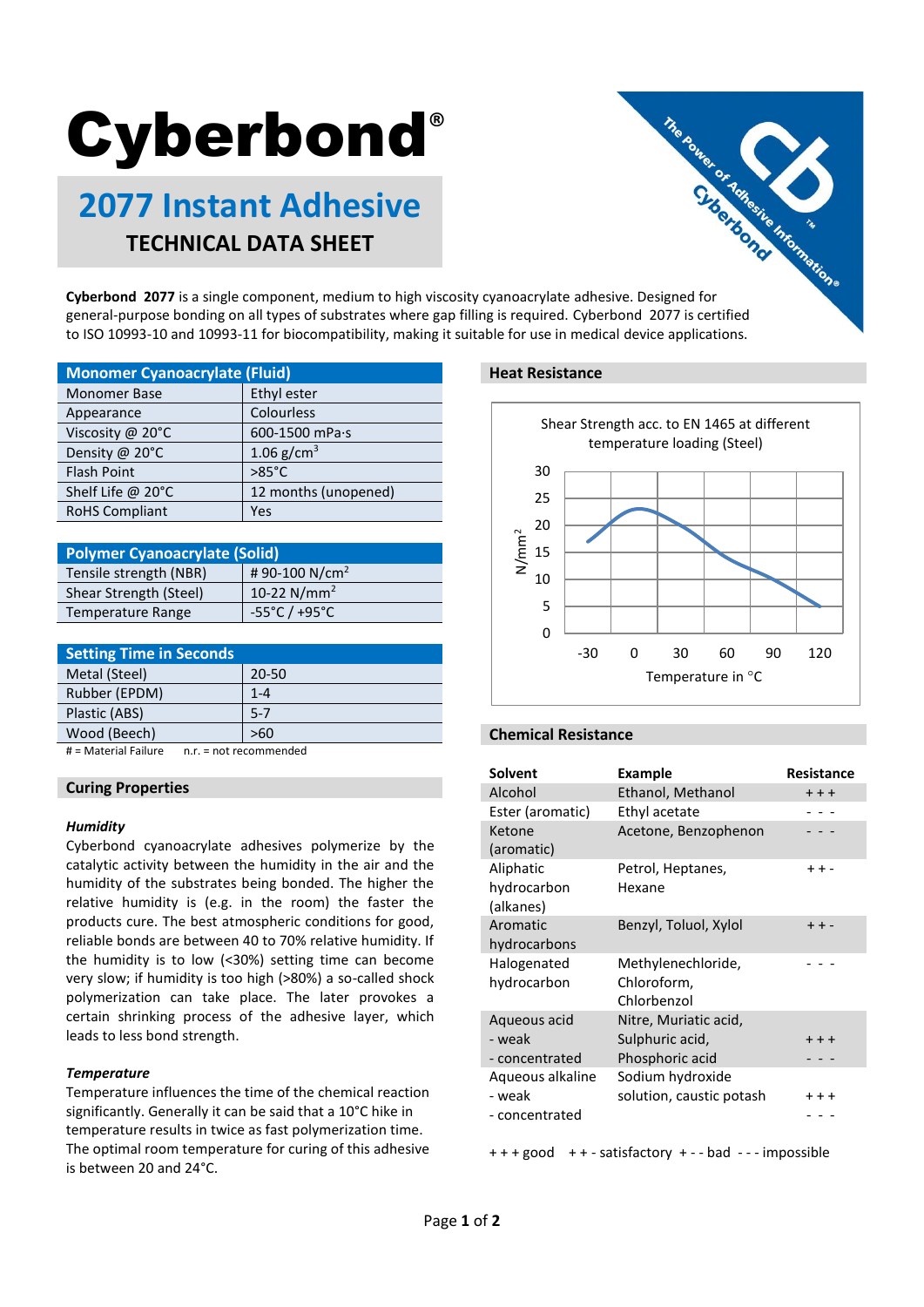# **Cyberbond®**

# **2077 Instant Adhesive TECHNICAL DATA SHEET**



general-purpose bonding on all types of substrates where gap filling is required. Cyberbond 2077 is certified to ISO 10993-10 and 10993-11 for biocompatibility, making it suitable for use in medical device applications.

| <b>Monomer Cyanoacrylate (Fluid)</b> |                      |  |
|--------------------------------------|----------------------|--|
| <b>Monomer Base</b>                  | Ethyl ester          |  |
| Appearance                           | Colourless           |  |
| Viscosity @ 20°C                     | 600-1500 mPa·s       |  |
| Density @ 20°C                       | 1.06 $g/cm^{3}$      |  |
| <b>Flash Point</b>                   | $>85^{\circ}$ C      |  |
| Shelf Life @ 20°C                    | 12 months (unopened) |  |
| <b>RoHS Compliant</b>                | Yes                  |  |

| <b>Polymer Cyanoacrylate (Solid)</b> |                                   |  |
|--------------------------------------|-----------------------------------|--|
| Tensile strength (NBR)               | #90-100 N/cm <sup>2</sup>         |  |
| Shear Strength (Steel)               | 10-22 $N/mm^2$                    |  |
| <b>Temperature Range</b>             | $-55^{\circ}$ C / $+95^{\circ}$ C |  |

| <b>Setting Time in Seconds</b> |         |
|--------------------------------|---------|
| Metal (Steel)                  | 20-50   |
| Rubber (EPDM)                  | $1 - 4$ |
| Plastic (ABS)                  | $5 - 7$ |
| Wood (Beech)                   | >60     |
| .                              |         |

# = Material Failure n.r. = not recommended

### **Curing Properties**

#### *Humidity*

Cyberbond cyanoacrylate adhesives polymerize by the catalytic activity between the humidity in the air and the humidity of the substrates being bonded. The higher the relative humidity is (e.g. in the room) the faster the products cure. The best atmospheric conditions for good, reliable bonds are between 40 to 70% relative humidity. If the humidity is to low (<30%) setting time can become very slow; if humidity is too high (>80%) a so-called shock polymerization can take place. The later provokes a certain shrinking process of the adhesive layer, which leads to less bond strength.

#### *Temperature*

Temperature influences the time of the chemical reaction significantly. Generally it can be said that a 10°C hike in temperature results in twice as fast polymerization time. The optimal room temperature for curing of this adhesive is between 20 and 24°C.

#### **Heat Resistance**



#### **Chemical Resistance**

| <b>Solvent</b>   | Example                  | <b>Resistance</b> |
|------------------|--------------------------|-------------------|
| Alcohol          | Ethanol, Methanol        | $++$              |
| Ester (aromatic) | Ethyl acetate            |                   |
| Ketone           | Acetone, Benzophenon     |                   |
| (aromatic)       |                          |                   |
| Aliphatic        | Petrol, Heptanes,        | $++ -$            |
| hydrocarbon      | Hexane                   |                   |
| (alkanes)        |                          |                   |
| Aromatic         | Benzyl, Toluol, Xylol    | $++ -$            |
| hydrocarbons     |                          |                   |
| Halogenated      | Methylenechloride,       |                   |
| hydrocarbon      | Chloroform,              |                   |
|                  | Chlorbenzol              |                   |
| Aqueous acid     | Nitre, Muriatic acid,    |                   |
| - weak           | Sulphuric acid,          | $+ + +$           |
| - concentrated   | Phosphoric acid          |                   |
| Aqueous alkaline | Sodium hydroxide         |                   |
| - weak           | solution, caustic potash | $++$              |
| - concentrated   |                          |                   |

+ + + good + + - satisfactory + - - bad - - - impossible